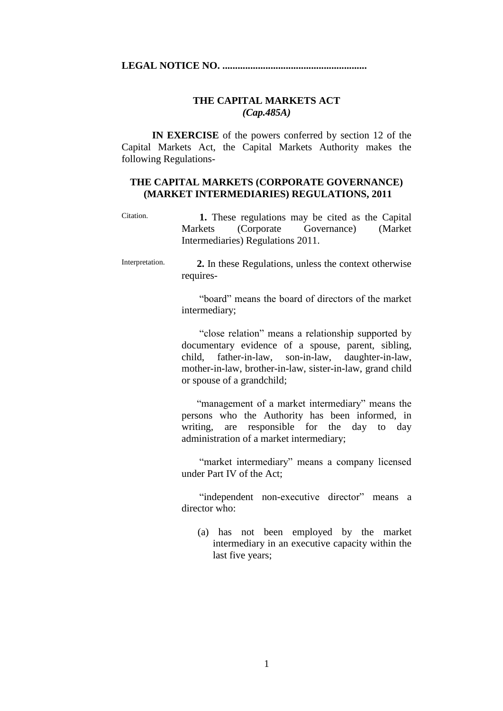**LEGAL NOTICE NO. .........................................................**

### **THE CAPITAL MARKETS ACT** *(Cap.485A)*

**IN EXERCISE** of the powers conferred by section 12 of the Capital Markets Act, the Capital Markets Authority makes the following Regulations-

#### **THE CAPITAL MARKETS (CORPORATE GOVERNANCE) (MARKET INTERMEDIARIES) REGULATIONS, 2011**

- Citation.  **1.** These regulations may be cited as the Capital Markets (Corporate Governance) (Market Intermediaries) Regulations 2011.
- Interpretation.  **2.** In these Regulations, unless the context otherwise requires-

 "board" means the board of directors of the market intermediary;

 "close relation" means a relationship supported by documentary evidence of a spouse, parent, sibling, child, father-in-law, son-in-law, daughter-in-law, mother-in-law, brother-in-law, sister-in-law, grand child or spouse of a grandchild;

 "management of a market intermediary" means the persons who the Authority has been informed, in writing, are responsible for the day to day administration of a market intermediary;

 "market intermediary" means a company licensed under Part IV of the Act;

"independent non-executive director" means a director who:

(a) has not been employed by the market intermediary in an executive capacity within the last five years;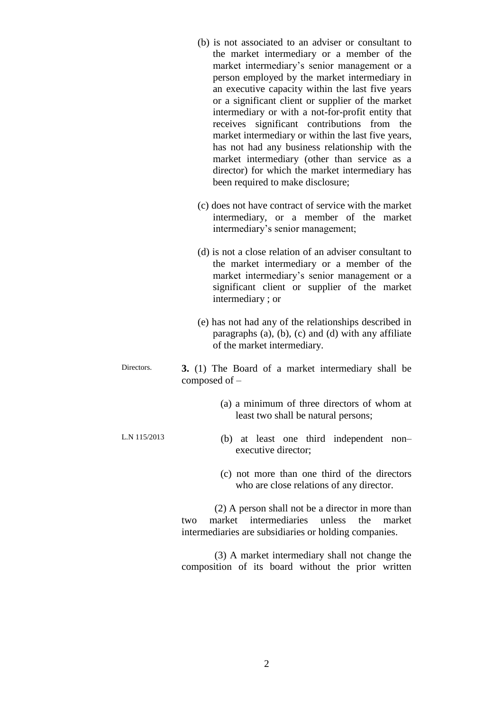|              | (b) is not associated to an adviser or consultant to<br>the market intermediary or a member of the<br>market intermediary's senior management or a<br>person employed by the market intermediary in<br>an executive capacity within the last five years<br>or a significant client or supplier of the market<br>intermediary or with a not-for-profit entity that<br>receives significant contributions from the<br>market intermediary or within the last five years,<br>has not had any business relationship with the<br>market intermediary (other than service as a<br>director) for which the market intermediary has<br>been required to make disclosure; |
|--------------|------------------------------------------------------------------------------------------------------------------------------------------------------------------------------------------------------------------------------------------------------------------------------------------------------------------------------------------------------------------------------------------------------------------------------------------------------------------------------------------------------------------------------------------------------------------------------------------------------------------------------------------------------------------|
|              | (c) does not have contract of service with the market<br>intermediary, or a member of the market<br>intermediary's senior management;                                                                                                                                                                                                                                                                                                                                                                                                                                                                                                                            |
|              | (d) is not a close relation of an adviser consultant to<br>the market intermediary or a member of the<br>market intermediary's senior management or a<br>significant client or supplier of the market<br>intermediary; or                                                                                                                                                                                                                                                                                                                                                                                                                                        |
|              | (e) has not had any of the relationships described in<br>paragraphs $(a)$ , $(b)$ , $(c)$ and $(d)$ with any affiliate<br>of the market intermediary.                                                                                                                                                                                                                                                                                                                                                                                                                                                                                                            |
| Directors.   | 3. (1) The Board of a market intermediary shall be<br>composed of $-$                                                                                                                                                                                                                                                                                                                                                                                                                                                                                                                                                                                            |
|              | (a) a minimum of three directors of whom at<br>least two shall be natural persons;                                                                                                                                                                                                                                                                                                                                                                                                                                                                                                                                                                               |
| L.N 115/2013 | (b) at least one third independent<br>$non-$<br>executive director;                                                                                                                                                                                                                                                                                                                                                                                                                                                                                                                                                                                              |
|              | (c) not more than one third of the directors<br>who are close relations of any director.                                                                                                                                                                                                                                                                                                                                                                                                                                                                                                                                                                         |
|              | (2) A person shall not be a director in more than<br>market<br>intermediaries<br>the<br>unless<br>market<br>two<br>intermediaries are subsidiaries or holding companies.                                                                                                                                                                                                                                                                                                                                                                                                                                                                                         |
|              | (3) A market intermediary shall not change the                                                                                                                                                                                                                                                                                                                                                                                                                                                                                                                                                                                                                   |

composition of its board without the prior written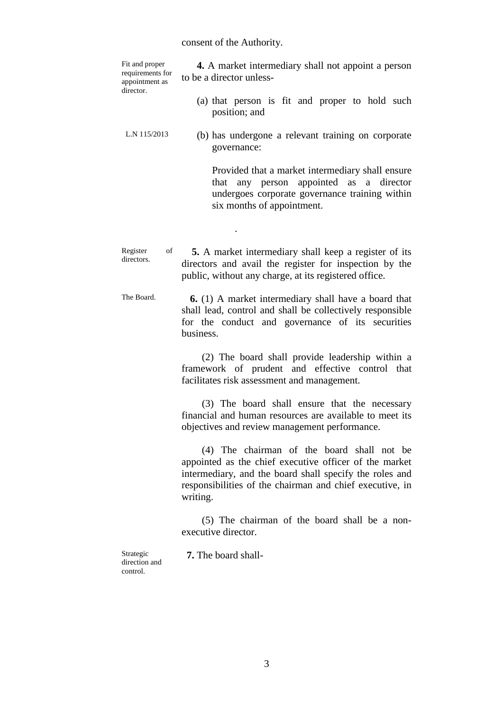# consent of the Authority.

| Fit and proper<br>requirements for<br>appointment as<br>director. | 4. A market intermediary shall not appoint a person<br>to be a director unless-                                                                                                                                                         |  |  |  |  |  |
|-------------------------------------------------------------------|-----------------------------------------------------------------------------------------------------------------------------------------------------------------------------------------------------------------------------------------|--|--|--|--|--|
|                                                                   | (a) that person is fit and proper to hold such<br>position; and                                                                                                                                                                         |  |  |  |  |  |
| L.N 115/2013                                                      | (b) has undergone a relevant training on corporate<br>governance:                                                                                                                                                                       |  |  |  |  |  |
|                                                                   | Provided that a market intermediary shall ensure<br>that any person appointed as a director<br>undergoes corporate governance training within<br>six months of appointment.                                                             |  |  |  |  |  |
|                                                                   |                                                                                                                                                                                                                                         |  |  |  |  |  |
| of<br>Register<br>directors.                                      | 5. A market intermediary shall keep a register of its<br>directors and avail the register for inspection by the<br>public, without any charge, at its registered office.                                                                |  |  |  |  |  |
| The Board.                                                        | <b>6.</b> (1) A market intermediary shall have a board that<br>shall lead, control and shall be collectively responsible<br>for the conduct and governance of its securities<br>business.                                               |  |  |  |  |  |
|                                                                   | (2) The board shall provide leadership within a<br>framework of prudent and effective control that<br>facilitates risk assessment and management.                                                                                       |  |  |  |  |  |
|                                                                   | (3) The board shall ensure that the necessary<br>financial and human resources are available to meet its<br>objectives and review management performance.                                                                               |  |  |  |  |  |
|                                                                   | (4) The chairman of the board shall not be<br>appointed as the chief executive officer of the market<br>intermediary, and the board shall specify the roles and<br>responsibilities of the chairman and chief executive, in<br>writing. |  |  |  |  |  |
|                                                                   | (5) The chairman of the board shall be a non-<br>executive director.                                                                                                                                                                    |  |  |  |  |  |

Strategic direction and control.

 **7.** The board shall-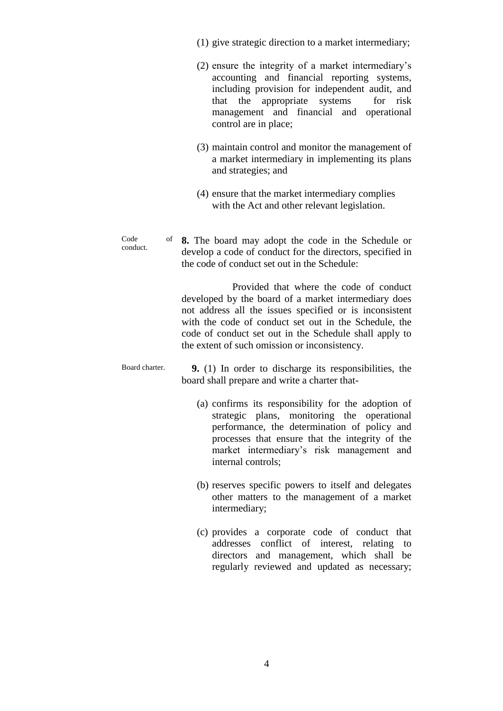- (1) give strategic direction to a market intermediary;
- (2) ensure the integrity of a market intermediary's accounting and financial reporting systems, including provision for independent audit, and that the appropriate systems for risk management and financial and operational control are in place;
- (3) maintain control and monitor the management of a market intermediary in implementing its plans and strategies; and
- (4) ensure that the market intermediary complies with the Act and other relevant legislation.

 $C_{\Omega}$ de conduct. **8.** The board may adopt the code in the Schedule or develop a code of conduct for the directors, specified in the code of conduct set out in the Schedule:

> Provided that where the code of conduct developed by the board of a market intermediary does not address all the issues specified or is inconsistent with the code of conduct set out in the Schedule, the code of conduct set out in the Schedule shall apply to the extent of such omission or inconsistency.

Board charter.  **9.** (1) In order to discharge its responsibilities, the board shall prepare and write a charter that-

- (a) confirms its responsibility for the adoption of strategic plans, monitoring the operational performance, the determination of policy and processes that ensure that the integrity of the market intermediary's risk management and internal controls;
- (b) reserves specific powers to itself and delegates other matters to the management of a market intermediary;
- (c) provides a corporate code of conduct that addresses conflict of interest, relating to directors and management, which shall be regularly reviewed and updated as necessary;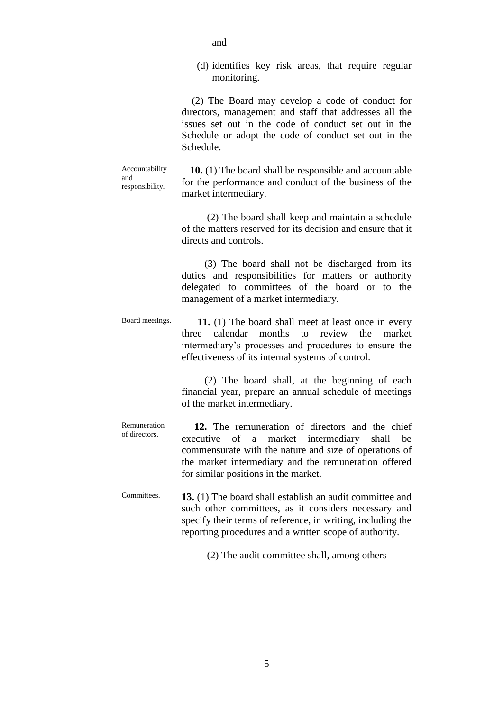(d) identifies key risk areas, that require regular monitoring.

 (2) The Board may develop a code of conduct for directors, management and staff that addresses all the issues set out in the code of conduct set out in the Schedule or adopt the code of conduct set out in the Schedule.

Accountability and responsibility.

**10.** (1) The board shall be responsible and accountable for the performance and conduct of the business of the market intermediary.

 (2) The board shall keep and maintain a schedule of the matters reserved for its decision and ensure that it directs and controls.

 (3) The board shall not be discharged from its duties and responsibilities for matters or authority delegated to committees of the board or to the management of a market intermediary.

Board meetings.  **11.** (1) The board shall meet at least once in every three calendar months to review the market intermediary's processes and procedures to ensure the effectiveness of its internal systems of control.

> (2) The board shall, at the beginning of each financial year, prepare an annual schedule of meetings of the market intermediary.

Remuneration of directors.  **12.** The remuneration of directors and the chief executive of a market intermediary shall be commensurate with the nature and size of operations of the market intermediary and the remuneration offered for similar positions in the market.

Committees. **13.** (1) The board shall establish an audit committee and such other committees, as it considers necessary and specify their terms of reference, in writing, including the reporting procedures and a written scope of authority.

(2) The audit committee shall, among others-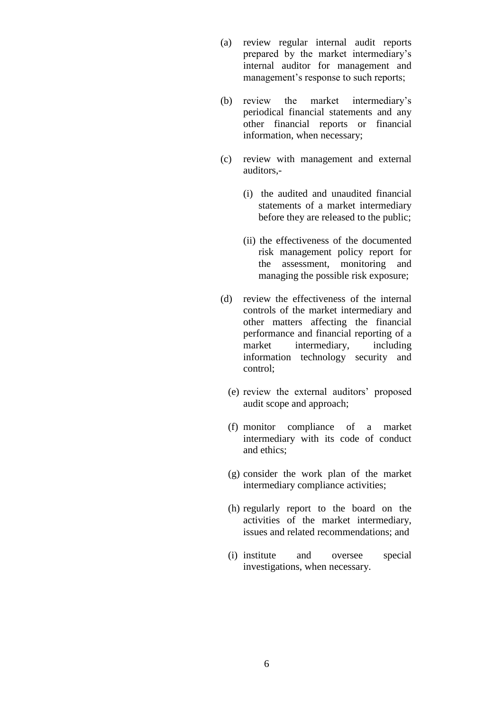- (a) review regular internal audit reports prepared by the market intermediary's internal auditor for management and management's response to such reports;
- (b) review the market intermediary's periodical financial statements and any other financial reports or financial information, when necessary;
- (c) review with management and external auditors,-
	- (i) the audited and unaudited financial statements of a market intermediary before they are released to the public;
	- (ii) the effectiveness of the documented risk management policy report for the assessment, monitoring and managing the possible risk exposure;
- (d) review the effectiveness of the internal controls of the market intermediary and other matters affecting the financial performance and financial reporting of a market intermediary, including information technology security and control;
	- (e) review the external auditors' proposed audit scope and approach;
	- (f) monitor compliance of a market intermediary with its code of conduct and ethics;
	- (g) consider the work plan of the market intermediary compliance activities;
	- (h) regularly report to the board on the activities of the market intermediary, issues and related recommendations; and
	- (i) institute and oversee special investigations, when necessary.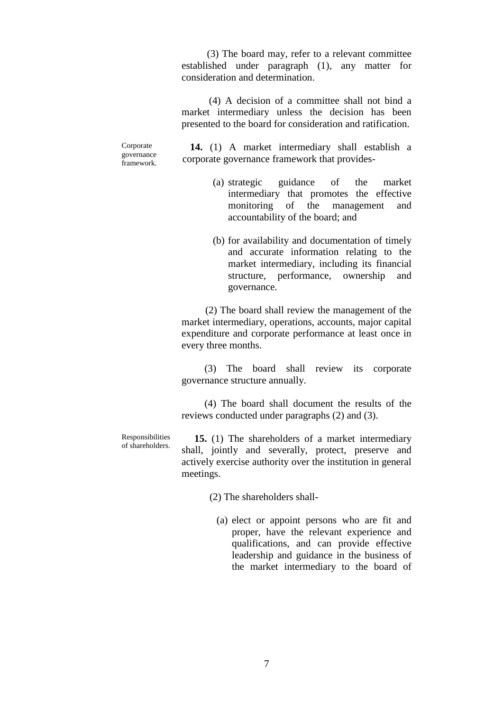(3) The board may, refer to a relevant committee established under paragraph (1), any matter for consideration and determination.

(4) A decision of a committee shall not bind a market intermediary unless the decision has been presented to the board for consideration and ratification.

Corporate governance framework.

**14.** (1) A market intermediary shall establish a corporate governance framework that provides-

- (a) strategic guidance of the market intermediary that promotes the effective monitoring of the management and accountability of the board; and
- (b) for availability and documentation of timely and accurate information relating to the market intermediary, including its financial structure, performance, ownership and governance.

(2) The board shall review the management of the market intermediary, operations, accounts, major capital expenditure and corporate performance at least once in every three months.

 (3) The board shall review its corporate governance structure annually.

 (4) The board shall document the results of the reviews conducted under paragraphs (2) and (3).

Responsibilities of shareholders.

 **15.** (1) The shareholders of a market intermediary shall, jointly and severally, protect, preserve and actively exercise authority over the institution in general meetings.

(2) The shareholders shall-

(a) elect or appoint persons who are fit and proper, have the relevant experience and qualifications, and can provide effective leadership and guidance in the business of the market intermediary to the board of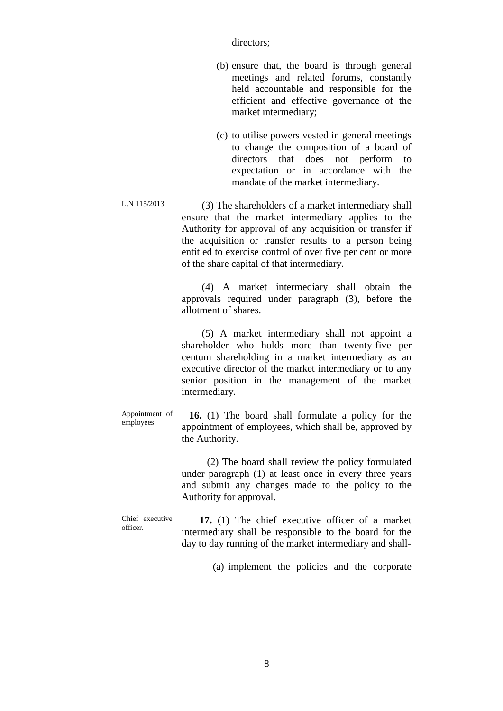directors;

- (b) ensure that, the board is through general meetings and related forums, constantly held accountable and responsible for the efficient and effective governance of the market intermediary;
- (c) to utilise powers vested in general meetings to change the composition of a board of directors that does not perform to expectation or in accordance with the mandate of the market intermediary.
- L.N 115/2013 (3) The shareholders of a market intermediary shall ensure that the market intermediary applies to the Authority for approval of any acquisition or transfer if the acquisition or transfer results to a person being entitled to exercise control of over five per cent or more of the share capital of that intermediary.

 (4) A market intermediary shall obtain the approvals required under paragraph (3), before the allotment of shares.

 (5) A market intermediary shall not appoint a shareholder who holds more than twenty-five per centum shareholding in a market intermediary as an executive director of the market intermediary or to any senior position in the management of the market intermediary.

Appointment of employees  **16.** (1) The board shall formulate a policy for the appointment of employees, which shall be, approved by the Authority.

> (2) The board shall review the policy formulated under paragraph (1) at least once in every three years and submit any changes made to the policy to the Authority for approval.

Chief executive officer.

 **17.** (1) The chief executive officer of a market intermediary shall be responsible to the board for the day to day running of the market intermediary and shall-

(a) implement the policies and the corporate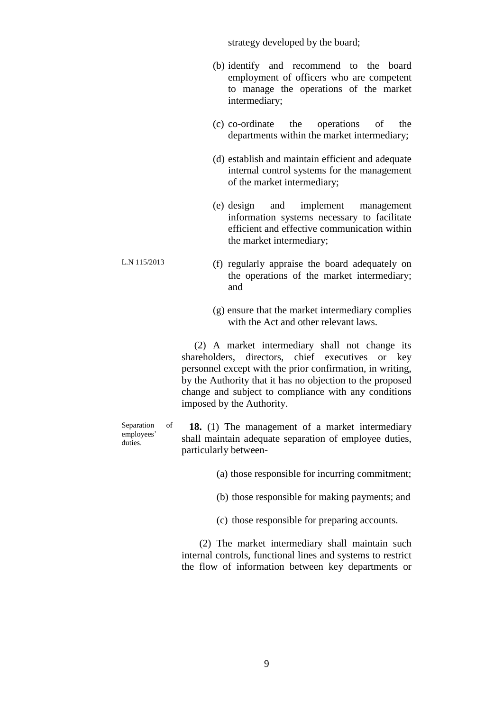strategy developed by the board;

- (b) identify and recommend to the board employment of officers who are competent to manage the operations of the market intermediary;
- (c) co-ordinate the operations of the departments within the market intermediary;
- (d) establish and maintain efficient and adequate internal control systems for the management of the market intermediary;
- (e) design and implement management information systems necessary to facilitate efficient and effective communication within the market intermediary;
- L.N 115/2013 (f) regularly appraise the board adequately on the operations of the market intermediary; and
	- (g) ensure that the market intermediary complies with the Act and other relevant laws.

 (2) A market intermediary shall not change its shareholders, directors, chief executives or key personnel except with the prior confirmation, in writing, by the Authority that it has no objection to the proposed change and subject to compliance with any conditions imposed by the Authority.

Separation of employees' duties.

 **18.** (1) The management of a market intermediary shall maintain adequate separation of employee duties, particularly between-

- (a) those responsible for incurring commitment;
- (b) those responsible for making payments; and
- (c) those responsible for preparing accounts.

 (2) The market intermediary shall maintain such internal controls, functional lines and systems to restrict the flow of information between key departments or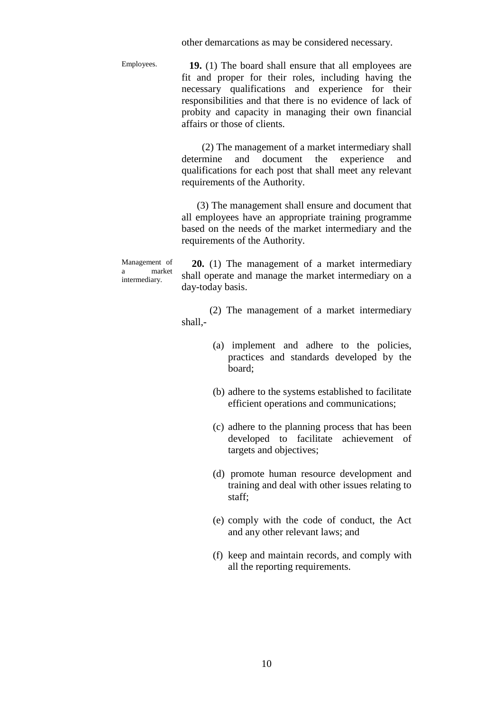other demarcations as may be considered necessary.

Employees.

 **19.** (1) The board shall ensure that all employees are fit and proper for their roles, including having the necessary qualifications and experience for their responsibilities and that there is no evidence of lack of probity and capacity in managing their own financial affairs or those of clients.

 (2) The management of a market intermediary shall determine and document the experience and qualifications for each post that shall meet any relevant requirements of the Authority.

 (3) The management shall ensure and document that all employees have an appropriate training programme based on the needs of the market intermediary and the requirements of the Authority.

Management of a market intermediary.

 **20.** (1) The management of a market intermediary shall operate and manage the market intermediary on a day-today basis.

 (2) The management of a market intermediary shall,-

- (a) implement and adhere to the policies, practices and standards developed by the board;
- (b) adhere to the systems established to facilitate efficient operations and communications;
- (c) adhere to the planning process that has been developed to facilitate achievement of targets and objectives;
- (d) promote human resource development and training and deal with other issues relating to staff;
- (e) comply with the code of conduct, the Act and any other relevant laws; and
- (f) keep and maintain records, and comply with all the reporting requirements.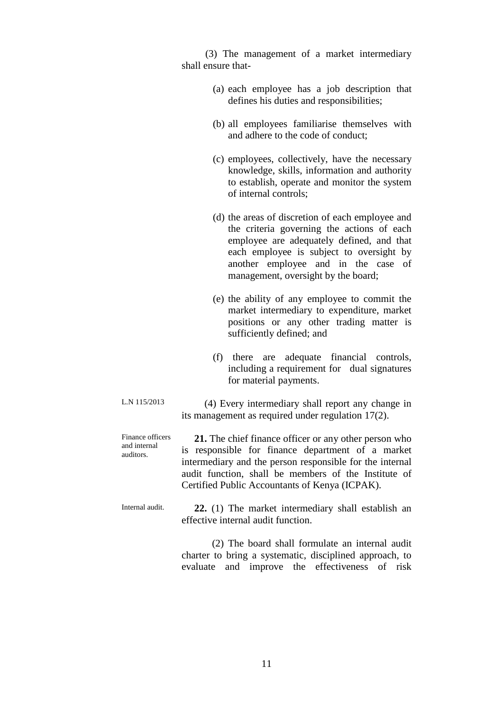(3) The management of a market intermediary shall ensure that-

- (a) each employee has a job description that defines his duties and responsibilities;
- (b) all employees familiarise themselves with and adhere to the code of conduct;
- (c) employees, collectively, have the necessary knowledge, skills, information and authority to establish, operate and monitor the system of internal controls;
- (d) the areas of discretion of each employee and the criteria governing the actions of each employee are adequately defined, and that each employee is subject to oversight by another employee and in the case of management, oversight by the board;
- (e) the ability of any employee to commit the market intermediary to expenditure, market positions or any other trading matter is sufficiently defined; and
- (f) there are adequate financial controls, including a requirement for dual signatures for material payments.

L.N 115/2013 (4) Every intermediary shall report any change in its management as required under regulation 17(2).

Finance officers and internal auditors.  **21.** The chief finance officer or any other person who is responsible for finance department of a market intermediary and the person responsible for the internal audit function, shall be members of the Institute of Certified Public Accountants of Kenya (ICPAK).

Internal audit.  **22.** (1) The market intermediary shall establish an effective internal audit function.

> (2) The board shall formulate an internal audit charter to bring a systematic, disciplined approach, to evaluate and improve the effectiveness of risk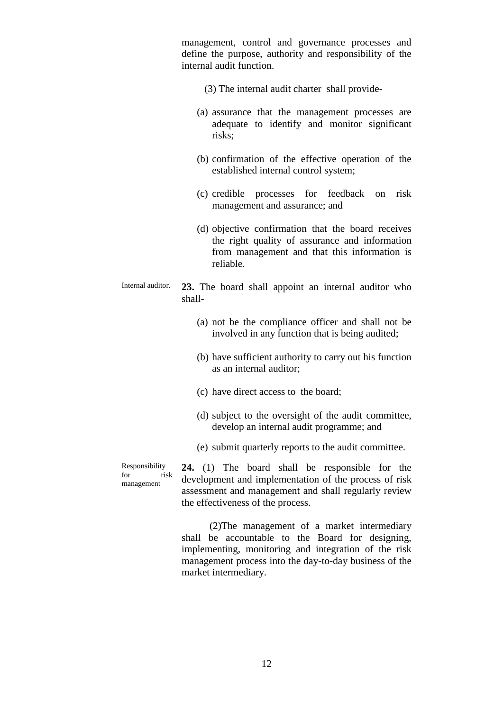management, control and governance processes and define the purpose, authority and responsibility of the internal audit function.

- (3) The internal audit charter shall provide-
- (a) assurance that the management processes are adequate to identify and monitor significant risks;
- (b) confirmation of the effective operation of the established internal control system;
- (c) credible processes for feedback on risk management and assurance; and
- (d) objective confirmation that the board receives the right quality of assurance and information from management and that this information is reliable.
- Internal auditor. **23.** The board shall appoint an internal auditor who shall-
	- (a) not be the compliance officer and shall not be involved in any function that is being audited;
	- (b) have sufficient authority to carry out his function as an internal auditor;
	- (c) have direct access to the board;
	- (d) subject to the oversight of the audit committee, develop an internal audit programme; and
	- (e) submit quarterly reports to the audit committee.

Responsibility for risk management

**24.** (1) The board shall be responsible for the development and implementation of the process of risk assessment and management and shall regularly review the effectiveness of the process.

 (2)The management of a market intermediary shall be accountable to the Board for designing, implementing, monitoring and integration of the risk management process into the day-to-day business of the market intermediary.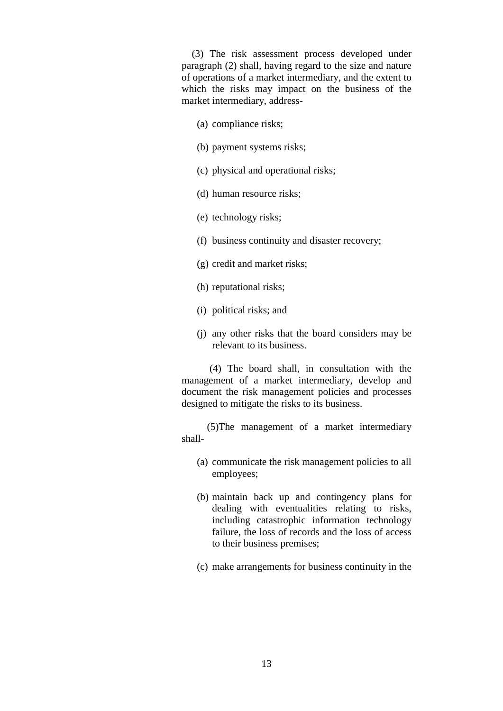(3) The risk assessment process developed under paragraph (2) shall, having regard to the size and nature of operations of a market intermediary, and the extent to which the risks may impact on the business of the market intermediary, address-

- (a) compliance risks;
- (b) payment systems risks;
- (c) physical and operational risks;
- (d) human resource risks;
- (e) technology risks;
- (f) business continuity and disaster recovery;
- (g) credit and market risks;
- (h) reputational risks;
- (i) political risks; and
- (j) any other risks that the board considers may be relevant to its business.

 (4) The board shall, in consultation with the management of a market intermediary, develop and document the risk management policies and processes designed to mitigate the risks to its business.

 (5)The management of a market intermediary shall-

- (a) communicate the risk management policies to all employees;
- (b) maintain back up and contingency plans for dealing with eventualities relating to risks, including catastrophic information technology failure, the loss of records and the loss of access to their business premises;
- (c) make arrangements for business continuity in the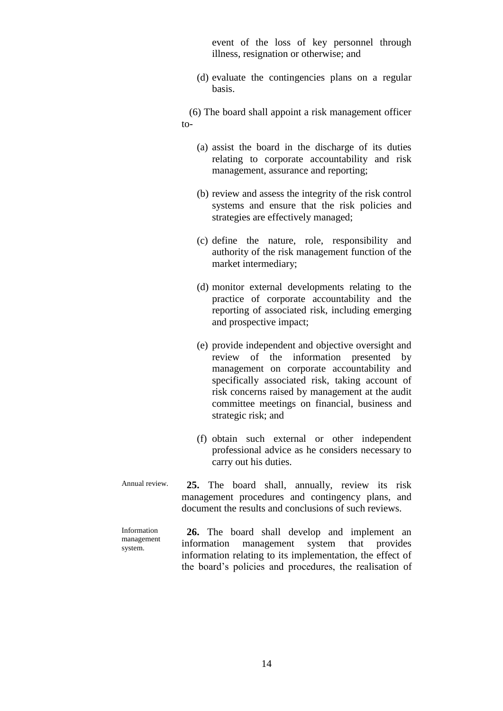event of the loss of key personnel through illness, resignation or otherwise; and

(d) evaluate the contingencies plans on a regular basis.

 (6) The board shall appoint a risk management officer to-

- (a) assist the board in the discharge of its duties relating to corporate accountability and risk management, assurance and reporting;
- (b) review and assess the integrity of the risk control systems and ensure that the risk policies and strategies are effectively managed;
- (c) define the nature, role, responsibility and authority of the risk management function of the market intermediary;
- (d) monitor external developments relating to the practice of corporate accountability and the reporting of associated risk, including emerging and prospective impact;
- (e) provide independent and objective oversight and review of the information presented by management on corporate accountability and specifically associated risk, taking account of risk concerns raised by management at the audit committee meetings on financial, business and strategic risk; and
- (f) obtain such external or other independent professional advice as he considers necessary to carry out his duties.
- Annual review.  **25.** The board shall, annually, review its risk management procedures and contingency plans, and document the results and conclusions of such reviews.

Information management system.  **26.** The board shall develop and implement an information management system that provides information relating to its implementation, the effect of the board's policies and procedures, the realisation of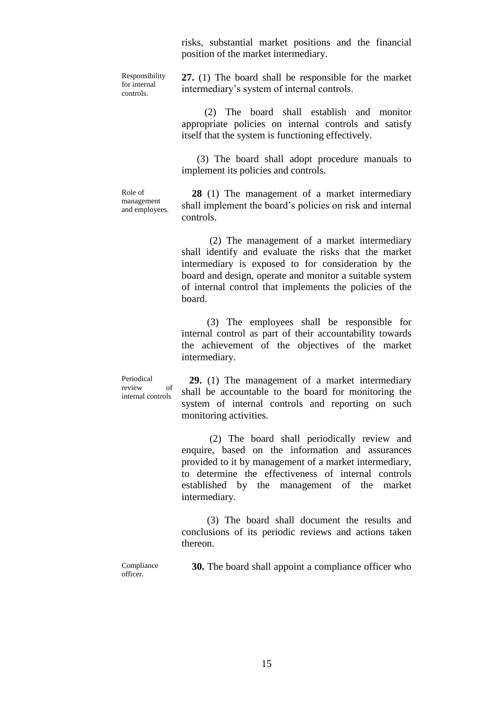risks, substantial market positions and the financial position of the market intermediary.

Responsibility for internal controls.

**27.** (1) The board shall be responsible for the market intermediary's system of internal controls.

 (2) The board shall establish and monitor appropriate policies on internal controls and satisfy itself that the system is functioning effectively.

 (3) The board shall adopt procedure manuals to implement its policies and controls.

Role of management and employees.

 **28** (1) The management of a market intermediary shall implement the board's policies on risk and internal controls.

 (2) The management of a market intermediary shall identify and evaluate the risks that the market intermediary is exposed to for consideration by the board and design, operate and monitor a suitable system of internal control that implements the policies of the board.

 (3) The employees shall be responsible for internal control as part of their accountability towards the achievement of the objectives of the market intermediary.

Periodical review of internal controls

 **29.** (1) The management of a market intermediary shall be accountable to the board for monitoring the system of internal controls and reporting on such monitoring activities.

 (2) The board shall periodically review and enquire, based on the information and assurances provided to it by management of a market intermediary, to determine the effectiveness of internal controls established by the management of the market intermediary.

 (3) The board shall document the results and conclusions of its periodic reviews and actions taken thereon.

Compliance officer.

 **30.** The board shall appoint a compliance officer who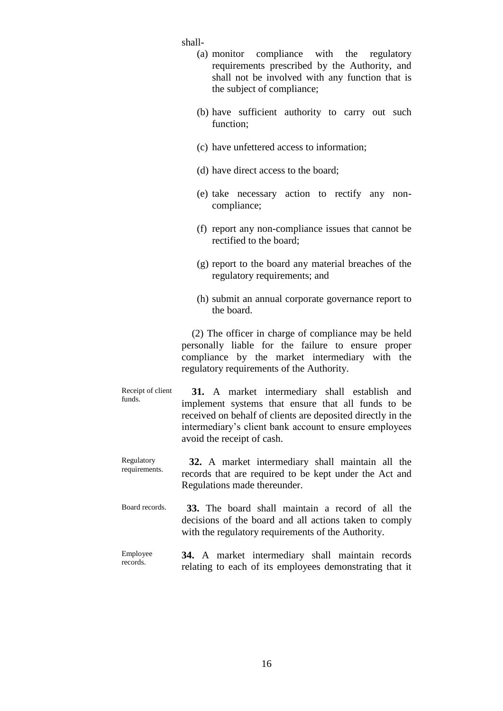shall-

|                            | (a) monitor compliance with the regulatory      |  |  |  |  |  |  |
|----------------------------|-------------------------------------------------|--|--|--|--|--|--|
|                            | requirements prescribed by the Authority, and   |  |  |  |  |  |  |
|                            | shall not be involved with any function that is |  |  |  |  |  |  |
| the subject of compliance; |                                                 |  |  |  |  |  |  |

- (b) have sufficient authority to carry out such function;
- (c) have unfettered access to information;
- (d) have direct access to the board;
- (e) take necessary action to rectify any noncompliance;
- (f) report any non-compliance issues that cannot be rectified to the board;
- (g) report to the board any material breaches of the regulatory requirements; and
- (h) submit an annual corporate governance report to the board.

 (2) The officer in charge of compliance may be held personally liable for the failure to ensure proper compliance by the market intermediary with the regulatory requirements of the Authority.

- Receipt of client funds.  **31.** A market intermediary shall establish and implement systems that ensure that all funds to be received on behalf of clients are deposited directly in the intermediary's client bank account to ensure employees avoid the receipt of cash.
- Regulatory requirements.  **32.** A market intermediary shall maintain all the records that are required to be kept under the Act and Regulations made thereunder.
- Board records.  **33.** The board shall maintain a record of all the decisions of the board and all actions taken to comply with the regulatory requirements of the Authority.
- Employee records. **34.** A market intermediary shall maintain records relating to each of its employees demonstrating that it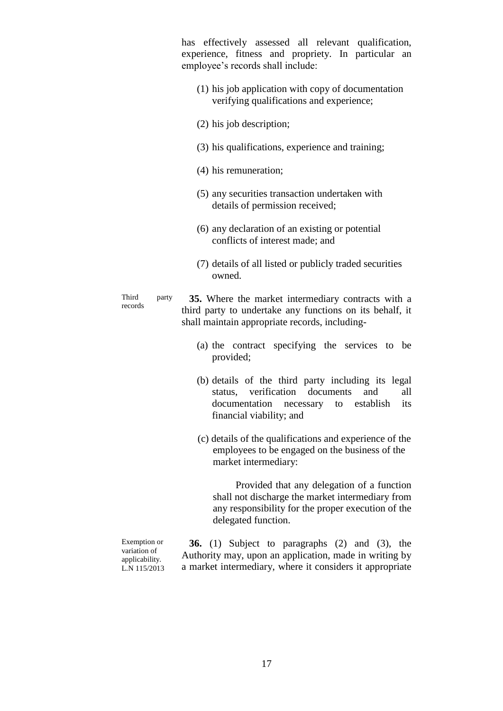has effectively assessed all relevant qualification, experience, fitness and propriety. In particular an employee's records shall include:

- (1) his job application with copy of documentation verifying qualifications and experience;
- (2) his job description;
- (3) his qualifications, experience and training;
- (4) his remuneration;
- (5) any securities transaction undertaken with details of permission received;
- (6) any declaration of an existing or potential conflicts of interest made; and
- (7) details of all listed or publicly traded securities owned.

Third party records

 **35.** Where the market intermediary contracts with a third party to undertake any functions on its behalf, it shall maintain appropriate records, including-

- (a) the contract specifying the services to be provided;
- (b) details of the third party including its legal status, verification documents and all documentation necessary to establish its financial viability; and
- (c) details of the qualifications and experience of the employees to be engaged on the business of the market intermediary:

 Provided that any delegation of a function shall not discharge the market intermediary from any responsibility for the proper execution of the delegated function.

Exemption or variation of applicability. L.N 115/2013

 **36.** (1) Subject to paragraphs (2) and (3), the Authority may, upon an application, made in writing by a market intermediary, where it considers it appropriate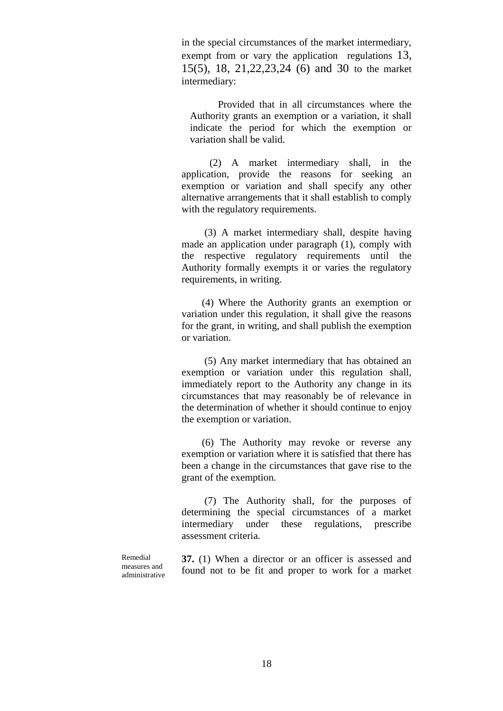in the special circumstances of the market intermediary, exempt from or vary the application regulations 13, 15(5), 18, 21,22,23,24 (6) and 30 to the market intermediary:

 Provided that in all circumstances where the Authority grants an exemption or a variation, it shall indicate the period for which the exemption or variation shall be valid.

 (2) A market intermediary shall, in the application, provide the reasons for seeking an exemption or variation and shall specify any other alternative arrangements that it shall establish to comply with the regulatory requirements.

 (3) A market intermediary shall, despite having made an application under paragraph (1), comply with the respective regulatory requirements until the Authority formally exempts it or varies the regulatory requirements, in writing.

 (4) Where the Authority grants an exemption or variation under this regulation, it shall give the reasons for the grant, in writing, and shall publish the exemption or variation.

 (5) Any market intermediary that has obtained an exemption or variation under this regulation shall, immediately report to the Authority any change in its circumstances that may reasonably be of relevance in the determination of whether it should continue to enjoy the exemption or variation.

 (6) The Authority may revoke or reverse any exemption or variation where it is satisfied that there has been a change in the circumstances that gave rise to the grant of the exemption.

 (7) The Authority shall, for the purposes of determining the special circumstances of a market intermediary under these regulations, prescribe assessment criteria.

Remedial measures and administrative **37.** (1) When a director or an officer is assessed and found not to be fit and proper to work for a market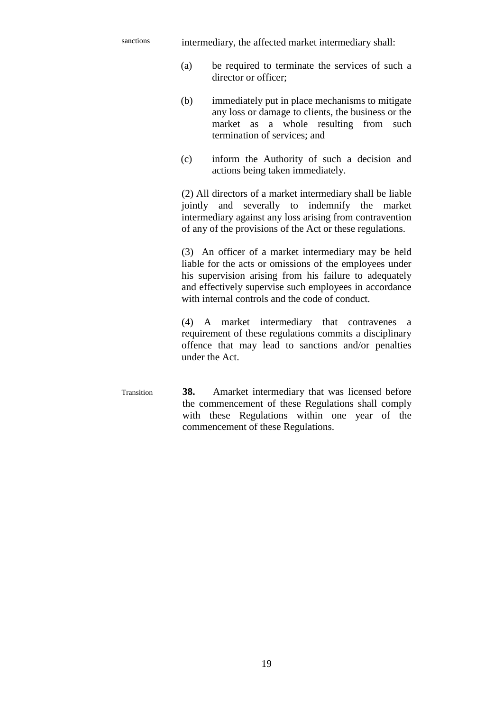sanctions intermediary, the affected market intermediary shall:

- (a) be required to terminate the services of such a director or officer;
- (b) immediately put in place mechanisms to mitigate any loss or damage to clients, the business or the market as a whole resulting from such termination of services; and
- (c) inform the Authority of such a decision and actions being taken immediately.

(2) All directors of a market intermediary shall be liable jointly and severally to indemnify the market intermediary against any loss arising from contravention of any of the provisions of the Act or these regulations.

(3) An officer of a market intermediary may be held liable for the acts or omissions of the employees under his supervision arising from his failure to adequately and effectively supervise such employees in accordance with internal controls and the code of conduct.

(4) A market intermediary that contravenes a requirement of these regulations commits a disciplinary offence that may lead to sanctions and/or penalties under the Act.

Transition **38.** Amarket intermediary that was licensed before the commencement of these Regulations shall comply with these Regulations within one year of the commencement of these Regulations.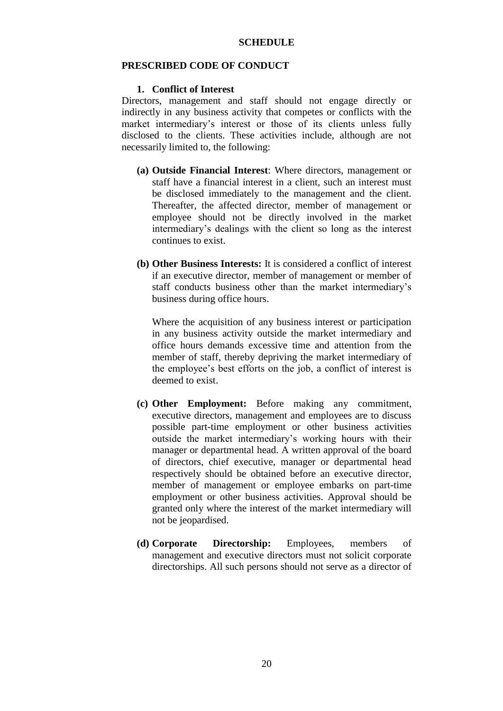#### **PRESCRIBED CODE OF CONDUCT**

#### **1. Conflict of Interest**

Directors, management and staff should not engage directly or indirectly in any business activity that competes or conflicts with the market intermediary's interest or those of its clients unless fully disclosed to the clients. These activities include, although are not necessarily limited to, the following:

- **(a) Outside Financial Interest**: Where directors, management or staff have a financial interest in a client, such an interest must be disclosed immediately to the management and the client. Thereafter, the affected director, member of management or employee should not be directly involved in the market intermediary's dealings with the client so long as the interest continues to exist.
- **(b) Other Business Interests:** It is considered a conflict of interest if an executive director, member of management or member of staff conducts business other than the market intermediary's business during office hours.

Where the acquisition of any business interest or participation in any business activity outside the market intermediary and office hours demands excessive time and attention from the member of staff, thereby depriving the market intermediary of the employee's best efforts on the job, a conflict of interest is deemed to exist.

- **(c) Other Employment:** Before making any commitment, executive directors, management and employees are to discuss possible part-time employment or other business activities outside the market intermediary's working hours with their manager or departmental head. A written approval of the board of directors, chief executive, manager or departmental head respectively should be obtained before an executive director, member of management or employee embarks on part-time employment or other business activities. Approval should be granted only where the interest of the market intermediary will not be jeopardised.
- **(d) Corporate Directorship:** Employees, members of management and executive directors must not solicit corporate directorships. All such persons should not serve as a director of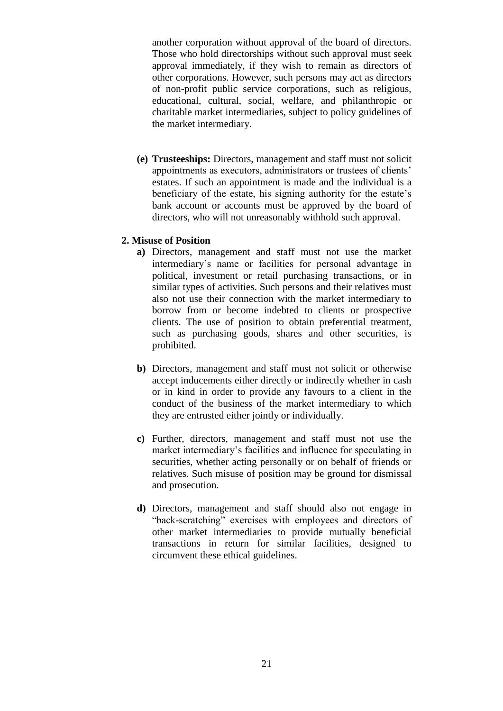another corporation without approval of the board of directors. Those who hold directorships without such approval must seek approval immediately, if they wish to remain as directors of other corporations. However, such persons may act as directors of non-profit public service corporations, such as religious, educational, cultural, social, welfare, and philanthropic or charitable market intermediaries, subject to policy guidelines of the market intermediary.

**(e) Trusteeships:** Directors, management and staff must not solicit appointments as executors, administrators or trustees of clients' estates. If such an appointment is made and the individual is a beneficiary of the estate, his signing authority for the estate's bank account or accounts must be approved by the board of directors, who will not unreasonably withhold such approval.

#### **2. Misuse of Position**

- **a)** Directors, management and staff must not use the market intermediary's name or facilities for personal advantage in political, investment or retail purchasing transactions, or in similar types of activities. Such persons and their relatives must also not use their connection with the market intermediary to borrow from or become indebted to clients or prospective clients. The use of position to obtain preferential treatment, such as purchasing goods, shares and other securities, is prohibited.
- **b)** Directors, management and staff must not solicit or otherwise accept inducements either directly or indirectly whether in cash or in kind in order to provide any favours to a client in the conduct of the business of the market intermediary to which they are entrusted either jointly or individually.
- **c)** Further, directors, management and staff must not use the market intermediary's facilities and influence for speculating in securities, whether acting personally or on behalf of friends or relatives. Such misuse of position may be ground for dismissal and prosecution.
- **d)** Directors, management and staff should also not engage in "back-scratching" exercises with employees and directors of other market intermediaries to provide mutually beneficial transactions in return for similar facilities, designed to circumvent these ethical guidelines.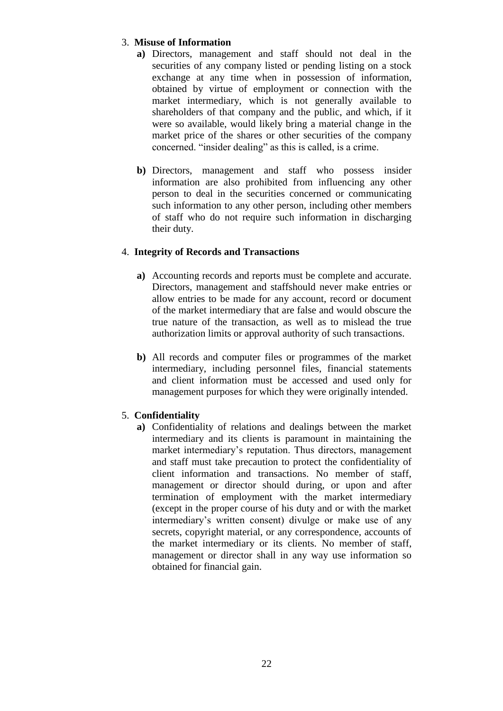# 3. **Misuse of Information**

- **a)** Directors, management and staff should not deal in the securities of any company listed or pending listing on a stock exchange at any time when in possession of information, obtained by virtue of employment or connection with the market intermediary, which is not generally available to shareholders of that company and the public, and which, if it were so available, would likely bring a material change in the market price of the shares or other securities of the company concerned. "insider dealing" as this is called, is a crime.
- **b)** Directors, management and staff who possess insider information are also prohibited from influencing any other person to deal in the securities concerned or communicating such information to any other person, including other members of staff who do not require such information in discharging their duty.

## 4. **Integrity of Records and Transactions**

- **a)** Accounting records and reports must be complete and accurate. Directors, management and staffshould never make entries or allow entries to be made for any account, record or document of the market intermediary that are false and would obscure the true nature of the transaction, as well as to mislead the true authorization limits or approval authority of such transactions.
- **b)** All records and computer files or programmes of the market intermediary, including personnel files, financial statements and client information must be accessed and used only for management purposes for which they were originally intended.

## 5. **Confidentiality**

**a)** Confidentiality of relations and dealings between the market intermediary and its clients is paramount in maintaining the market intermediary's reputation. Thus directors, management and staff must take precaution to protect the confidentiality of client information and transactions. No member of staff, management or director should during, or upon and after termination of employment with the market intermediary (except in the proper course of his duty and or with the market intermediary's written consent) divulge or make use of any secrets, copyright material, or any correspondence, accounts of the market intermediary or its clients. No member of staff, management or director shall in any way use information so obtained for financial gain.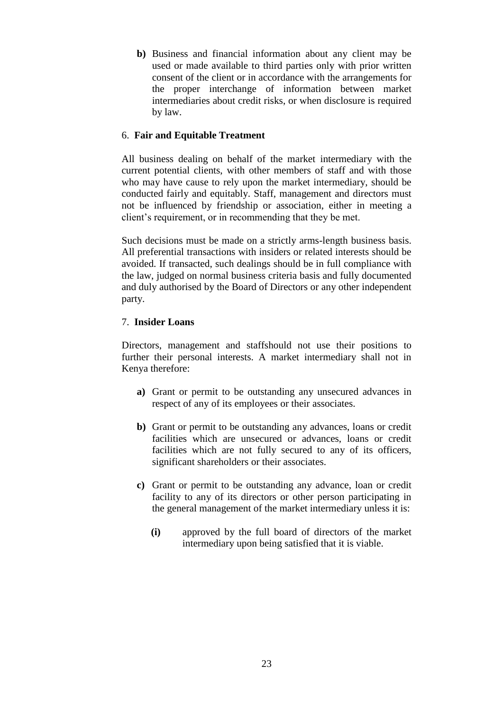**b)** Business and financial information about any client may be used or made available to third parties only with prior written consent of the client or in accordance with the arrangements for the proper interchange of information between market intermediaries about credit risks, or when disclosure is required by law.

## 6. **Fair and Equitable Treatment**

All business dealing on behalf of the market intermediary with the current potential clients, with other members of staff and with those who may have cause to rely upon the market intermediary, should be conducted fairly and equitably. Staff, management and directors must not be influenced by friendship or association, either in meeting a client's requirement, or in recommending that they be met.

Such decisions must be made on a strictly arms-length business basis. All preferential transactions with insiders or related interests should be avoided. If transacted, such dealings should be in full compliance with the law, judged on normal business criteria basis and fully documented and duly authorised by the Board of Directors or any other independent party.

#### 7. **Insider Loans**

Directors, management and staffshould not use their positions to further their personal interests. A market intermediary shall not in Kenya therefore:

- **a)** Grant or permit to be outstanding any unsecured advances in respect of any of its employees or their associates.
- **b)** Grant or permit to be outstanding any advances, loans or credit facilities which are unsecured or advances, loans or credit facilities which are not fully secured to any of its officers, significant shareholders or their associates.
- **c)** Grant or permit to be outstanding any advance, loan or credit facility to any of its directors or other person participating in the general management of the market intermediary unless it is:
	- **(i)** approved by the full board of directors of the market intermediary upon being satisfied that it is viable.